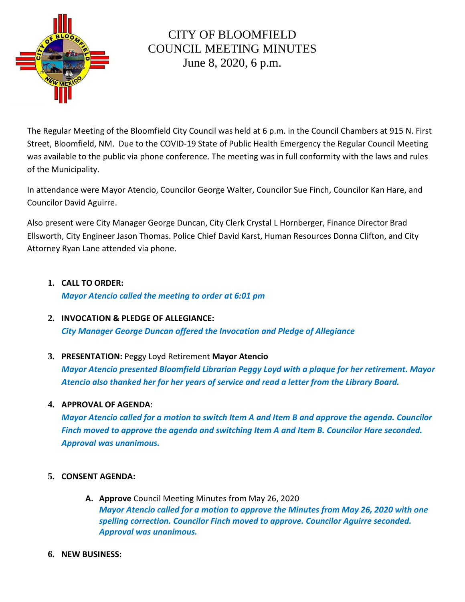

# CITY OF BLOOMFIELD COUNCIL MEETING MINUTES June 8, 2020, 6 p.m.

The Regular Meeting of the Bloomfield City Council was held at 6 p.m. in the Council Chambers at 915 N. First Street, Bloomfield, NM. Due to the COVID-19 State of Public Health Emergency the Regular Council Meeting was available to the public via phone conference. The meeting was in full conformity with the laws and rules of the Municipality.

In attendance were Mayor Atencio, Councilor George Walter, Councilor Sue Finch, Councilor Kan Hare, and Councilor David Aguirre.

Also present were City Manager George Duncan, City Clerk Crystal L Hornberger, Finance Director Brad Ellsworth, City Engineer Jason Thomas. Police Chief David Karst, Human Resources Donna Clifton, and City Attorney Ryan Lane attended via phone.

# **1. CALL TO ORDER:**  *Mayor Atencio called the meeting to order at 6:01 pm*

- **2. INVOCATION & PLEDGE OF ALLEGIANCE:** *City Manager George Duncan offered the Invocation and Pledge of Allegiance*
- **3. PRESENTATION:** Peggy Loyd Retirement **Mayor Atencio**

*Mayor Atencio presented Bloomfield Librarian Peggy Loyd with a plaque for her retirement. Mayor Atencio also thanked her for her years of service and read a letter from the Library Board.*

**4. APPROVAL OF AGENDA**:

*Mayor Atencio called for a motion to switch Item A and Item B and approve the agenda. Councilor Finch moved to approve the agenda and switching Item A and Item B. Councilor Hare seconded. Approval was unanimous.* 

## **5. CONSENT AGENDA:**

- **A. Approve** Council Meeting Minutes from May 26, 2020 *Mayor Atencio called for a motion to approve the Minutes from May 26, 2020 with one spelling correction. Councilor Finch moved to approve. Councilor Aguirre seconded. Approval was unanimous.*
- **6. NEW BUSINESS:**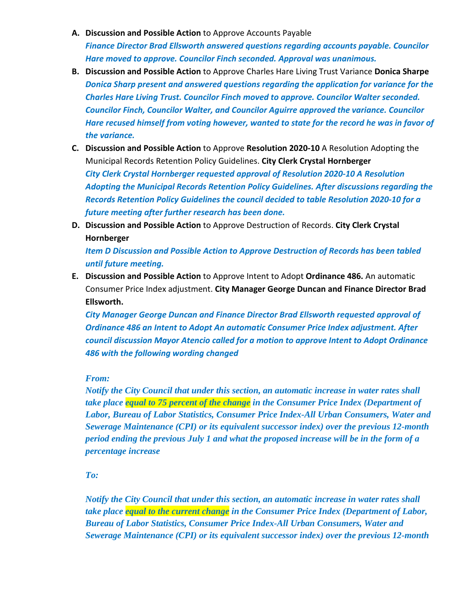- **A. Discussion and Possible Action** to Approve Accounts Payable *Finance Director Brad Ellsworth answered questions regarding accounts payable. Councilor Hare moved to approve. Councilor Finch seconded. Approval was unanimous.*
- **B. Discussion and Possible Action** to Approve Charles Hare Living Trust Variance **Donica Sharpe** *Donica Sharp present and answered questions regarding the application for variance for the Charles Hare Living Trust. Councilor Finch moved to approve. Councilor Walter seconded. Councilor Finch, Councilor Walter, and Councilor Aguirre approved the variance. Councilor Hare recused himself from voting however, wanted to state for the record he was in favor of the variance.*
- **C. Discussion and Possible Action** to Approve **Resolution 2020-10** A Resolution Adopting the Municipal Records Retention Policy Guidelines. **City Clerk Crystal Hornberger** *City Clerk Crystal Hornberger requested approval of Resolution 2020-10 A Resolution Adopting the Municipal Records Retention Policy Guidelines. After discussions regarding the Records Retention Policy Guidelines the council decided to table Resolution 2020-10 for a future meeting after further research has been done.*
- **D. Discussion and Possible Action** to Approve Destruction of Records. **City Clerk Crystal Hornberger**

*Item D Discussion and Possible Action to Approve Destruction of Records has been tabled until future meeting.* 

**E. Discussion and Possible Action** to Approve Intent to Adopt **Ordinance 486.** An automatic Consumer Price Index adjustment. **City Manager George Duncan and Finance Director Brad Ellsworth.**

*City Manager George Duncan and Finance Director Brad Ellsworth requested approval of Ordinance 486 an Intent to Adopt An automatic Consumer Price Index adjustment. After council discussion Mayor Atencio called for a motion to approve Intent to Adopt Ordinance 486 with the following wording changed* 

## *From:*

*Notify the City Council that under this section, an automatic increase in water rates shall take place equal to 75 percent of the change in the Consumer Price Index (Department of Labor, Bureau of Labor Statistics, Consumer Price Index-All Urban Consumers, Water and Sewerage Maintenance (CPI) or its equivalent successor index) over the previous 12-month period ending the previous July 1 and what the proposed increase will be in the form of a percentage increase*

## *To:*

*Notify the City Council that under this section, an automatic increase in water rates shall take place equal to the current change in the Consumer Price Index (Department of Labor, Bureau of Labor Statistics, Consumer Price Index-All Urban Consumers, Water and Sewerage Maintenance (CPI) or its equivalent successor index) over the previous 12-month*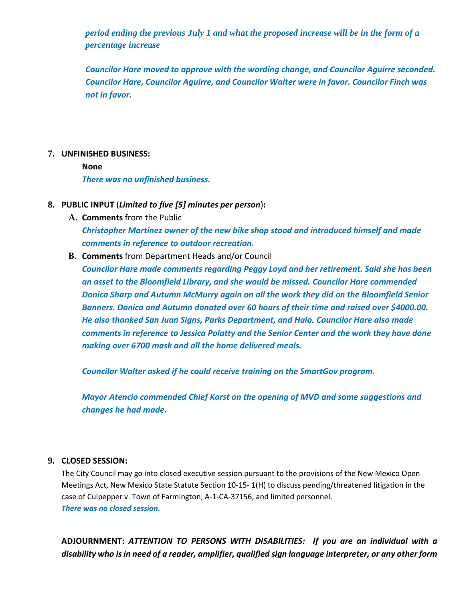*period ending the previous July 1 and what the proposed increase will be in the form of a percentage increase*

*Councilor Hare moved to approve with the wording change, and Councilor Aguirre seconded. Councilor Hare, Councilor Aguirre, and Councilor Walter were in favor. Councilor Finch was not in favor.* 

### **7. UNFINISHED BUSINESS:**

**None**

*There was no unfinished business.*

### **8. PUBLIC INPUT** (*Limited to five [5] minutes per person*)**:**

**A. Comments** from the Public

*Christopher Martinez owner of the new bike shop stood and introduced himself and made comments in reference to outdoor recreation.* 

**B. Comments** from Department Heads and/or Council

*Councilor Hare made comments regarding Peggy Loyd and her retirement. Said she has been an asset to the Bloomfield Library, and she would be missed. Councilor Hare commended Donica Sharp and Autumn McMurry again on all the work they did on the Bloomfield Senior Banners. Donica and Autumn donated over 60 hours of their time and raised over \$4000.00. He also thanked San Juan Signs, Parks Department, and Halo. Councilor Hare also made comments in reference to Jessica Polatty and the Senior Center and the work they have done making over 6700 mask and all the home delivered meals.* 

*Councilor Walter asked if he could receive training on the SmartGov program.* 

*Mayor Atencio commended Chief Karst on the opening of MVD and some suggestions and changes he had made.* 

#### **9. CLOSED SESSION:**

The City Council may go into closed executive session pursuant to the provisions of the New Mexico Open Meetings Act, New Mexico State Statute Section 10-15- 1(H) to discuss pending/threatened litigation in the case of Culpepper v. Town of Farmington, A-1-CA-37156, and limited personnel. *There was no closed session.* 

**ADJOURNMENT:** *ATTENTION TO PERSONS WITH DISABILITIES: If you are an individual with a disability who is in need of a reader, amplifier, qualified sign language interpreter, or any other form*